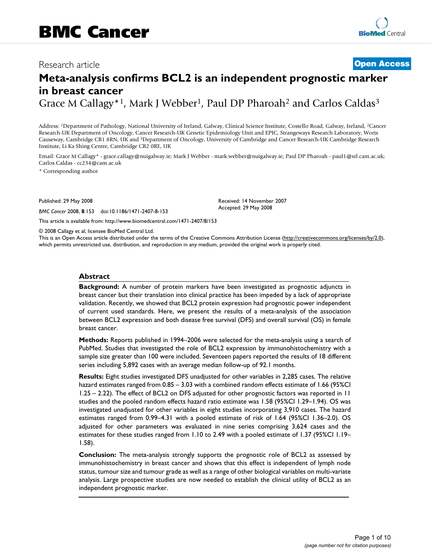## Research article **[Open Access](http://www.biomedcentral.com/info/about/charter/)**

# **Meta-analysis confirms BCL2 is an independent prognostic marker in breast cancer**

Grace M Callagy<sup>\*1</sup>, Mark J Webber<sup>1</sup>, Paul DP Pharoah<sup>2</sup> and Carlos Caldas<sup>3</sup>

Address: 1Department of Pathology, National University of Ireland, Galway, Clinical Science Institute, Costello Road, Galway, Ireland, 2Cancer Research-UK Department of Oncology, Cancer Research-UK Genetic Epidemiology Unit and EPIC, Strangeways Research Laboratory, Worts Causeway, Cambridge CB1 8RN, UK and 3Department of Oncology, University of Cambridge and Cancer Research-UK Cambridge Research Institute, Li Ka Shing Centre, Cambridge CB2 0RE, UK

Email: Grace M Callagy\* - grace.callagy@nuigalway.ie; Mark J Webber - mark.webber@nuigalway.ie; Paul DP Pharoah - paul1@srl.cam.ac.uk; Carlos Caldas - cc234@cam.ac.uk

> Received: 14 November 2007 Accepted: 29 May 2008

\* Corresponding author

Published: 29 May 2008

*BMC Cancer* 2008, **8**:153 doi:10.1186/1471-2407-8-153

[This article is available from: http://www.biomedcentral.com/1471-2407/8/153](http://www.biomedcentral.com/1471-2407/8/153)

© 2008 Callagy et al; licensee BioMed Central Ltd.

This is an Open Access article distributed under the terms of the Creative Commons Attribution License [\(http://creativecommons.org/licenses/by/2.0\)](http://creativecommons.org/licenses/by/2.0), which permits unrestricted use, distribution, and reproduction in any medium, provided the original work is properly cited.

#### **Abstract**

**Background:** A number of protein markers have been investigated as prognostic adjuncts in breast cancer but their translation into clinical practice has been impeded by a lack of appropriate validation. Recently, we showed that BCL2 protein expression had prognostic power independent of current used standards. Here, we present the results of a meta-analysis of the association between BCL2 expression and both disease free survival (DFS) and overall survival (OS) in female breast cancer.

**Methods:** Reports published in 1994–2006 were selected for the meta-analysis using a search of PubMed. Studies that investigated the role of BCL2 expression by immunohistochemistry with a sample size greater than 100 were included. Seventeen papers reported the results of 18 different series including 5,892 cases with an average median follow-up of 92.1 months.

**Results:** Eight studies investigated DFS unadjusted for other variables in 2,285 cases. The relative hazard estimates ranged from 0.85 – 3.03 with a combined random effects estimate of 1.66 (95%CI 1.25 – 2.22). The effect of BCL2 on DFS adjusted for other prognostic factors was reported in 11 studies and the pooled random effects hazard ratio estimate was 1.58 (95%CI 1.29–1.94). OS was investigated unadjusted for other variables in eight studies incorporating 3,910 cases. The hazard estimates ranged from 0.99–4.31 with a pooled estimate of risk of 1.64 (95%CI 1.36–2.0). OS adjusted for other parameters was evaluated in nine series comprising 3,624 cases and the estimates for these studies ranged from 1.10 to 2.49 with a pooled estimate of 1.37 (95%CI 1.19– 1.58).

**Conclusion:** The meta-analysis strongly supports the prognostic role of BCL2 as assessed by immunohistochemistry in breast cancer and shows that this effect is independent of lymph node status, tumour size and tumour grade as well as a range of other biological variables on multi-variate analysis. Large prospective studies are now needed to establish the clinical utility of BCL2 as an independent prognostic marker.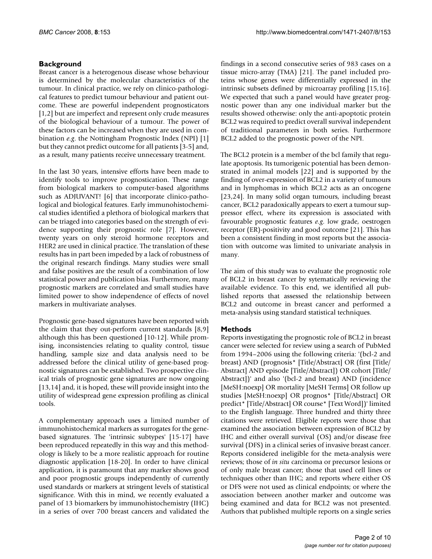#### **Background**

Breast cancer is a heterogenous disease whose behaviour is determined by the molecular characteristics of the tumour. In clinical practice, we rely on clinico-pathological features to predict tumour behaviour and patient outcome. These are powerful independent prognosticators [1,2] but are imperfect and represent only crude measures of the biological behaviour of a tumour. The power of these factors can be increased when they are used in combination *e.g*. the Nottingham Prognostic Index (NPI) [1] but they cannot predict outcome for all patients [3-5] and, as a result, many patients receive unnecessary treatment.

In the last 30 years, intensive efforts have been made to identify tools to improve prognostication. These range from biological markers to computer-based algorithms such as ADJUVANT! [6] that incorporate clinico-pathological and biological features. Early immunohistochemical studies identified a plethora of biological markers that can be triaged into categories based on the strength of evidence supporting their prognostic role [7]. However, twenty years on only steroid hormone receptors and HER2 are used in clinical practice. The translation of these results has in part been impeded by a lack of robustness of the original research findings. Many studies were small and false positives are the result of a combination of low statistical power and publication bias. Furthermore, many prognostic markers are correlated and small studies have limited power to show independence of effects of novel markers in multivariate analyses.

Prognostic gene-based signatures have been reported with the claim that they out-perform current standards [8,9] although this has been questioned [10-12]. While promising, inconsistencies relating to quality control, tissue handling, sample size and data analysis need to be addressed before the clinical utility of gene-based prognostic signatures can be established. Two prospective clinical trials of prognostic gene signatures are now ongoing [13,14] and, it is hoped, these will provide insight into the utility of widespread gene expression profiling as clinical tools.

A complementary approach uses a limited number of immunohistochemical markers as surrogates for the genebased signatures. The 'intrinsic subtypes' [15-17] have been reproduced repeatedly in this way and this methodology is likely to be a more realistic approach for routine diagnostic application [18-20]. In order to have clinical application, it is paramount that any marker shows good and poor prognostic groups independently of currently used standards or markers at stringent levels of statistical significance. With this in mind, we recently evaluated a panel of 13 biomarkers by immunohistochemistry (IHC) in a series of over 700 breast cancers and validated the findings in a second consecutive series of 983 cases on a tissue micro-array (TMA) [21]. The panel included proteins whose genes were differentially expressed in the intrinsic subsets defined by microarray profiling [15,16]. We expected that such a panel would have greater prognostic power than any one individual marker but the results showed otherwise: only the anti-apoptotic protein BCL2 was required to predict overall survival independent of traditional parameters in both series. Furthermore BCL2 added to the prognostic power of the NPI.

The BCL2 protein is a member of the bcl family that regulate apoptosis. Its tumorigenic potential has been demonstrated in animal models [22] and is supported by the finding of over-expression of BCL2 in a variety of tumours and in lymphomas in which BCL2 acts as an oncogene [23,24]. In many solid organ tumours, including breast cancer, BCL2 paradoxically appears to exert a tumour suppressor effect, where its expression is associated with favourable prognostic features *e.g*. low grade, oestrogen receptor (ER)-positivity and good outcome [21]. This has been a consistent finding in most reports but the association with outcome was limited to univariate analysis in many.

The aim of this study was to evaluate the prognostic role of BCL2 in breast cancer by sytematically reviewing the available evidence. To this end, we identified all published reports that assessed the relationship between BCL2 and outcome in breast cancer and performed a meta-analysis using standard statistical techniques.

#### **Methods**

Reports investigating the prognostic role of BCL2 in breast cancer were selected for review using a search of PubMed from 1994–2006 using the following criteria: '(bcl-2 and breast) AND (prognosis\* [Title/Abstract] OR (first [Title/ Abstract] AND episode [Title/Abstract]) OR cohort [Title/ Abstract])' and also '(bcl-2 and breast) AND (incidence [MeSH:noexp] OR mortality [MeSH Terms] OR follow up studies [MeSH:noexp] OR prognos\* [Title/Abstract] OR predict\* [Title/Abstract] OR course\* [Text Word])' limited to the English language. Three hundred and thirty three citations were retrieved. Eligible reports were those that examined the association between expression of BCL2 by IHC and either overall survival (OS) and/or disease free survival (DFS) in a clinical series of invasive breast cancer. Reports considered ineligible for the meta-analysis were reviews; those of *in situ* carcinoma or precursor lesions or of only male breast cancer; those that used cell lines or techniques other than IHC; and reports where either OS or DFS were not used as clinical endpoints; or where the association between another marker and outcome was being examined and data for BCL2 was not presented. Authors that published multiple reports on a single series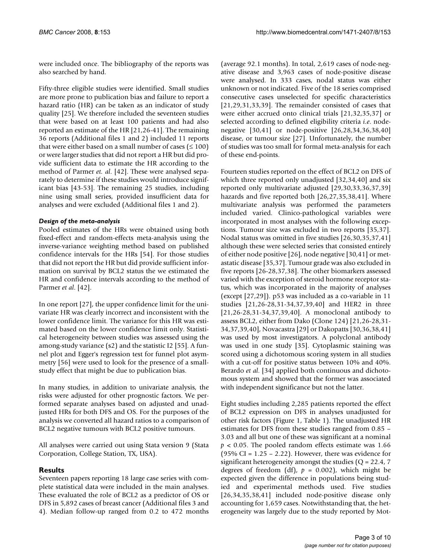were included once. The bibliography of the reports was also searched by hand.

Fifty-three eligible studies were identified. Small studies are more prone to publication bias and failure to report a hazard ratio (HR) can be taken as an indicator of study quality [25]. We therefore included the seventeen studies that were based on at least 100 patients and had also reported an estimate of the HR [21,26-41]. The remaining 36 reports (Additional files 1 and 2) included 11 reports that were either based on a small number of cases ( $\leq 100$ ) or were larger studies that did not report a HR but did provide sufficient data to estimate the HR according to the method of Parmer *et. al*. [42]. These were analysed separately to determine if these studies would introduce significant bias [43-53]. The remaining 25 studies, including nine using small series, provided insufficient data for analyses and were excluded (Additional files 1 and 2).

#### *Design of the meta-analysis*

Pooled estimates of the HRs were obtained using both fixed-effect and random-effects meta-analysis using the inverse-variance weighting method based on published confidence intervals for the HRs [54]. For those studies that did not report the HR but did provide sufficient information on survival by BCL2 status the we estimated the HR and confidence intervals according to the method of Parmer *et al*. [42].

In one report [27], the upper confidence limit for the univariate HR was clearly incorrect and inconsistent with the lower confidence limit. The variance for this HR was estimated based on the lower confidence limit only. Statistical heterogeneity between studies was assessed using the among-study variance (s2) and the statistic I2 [55]. A funnel plot and Egger's regression test for funnel plot asymmetry [56] were used to look for the presence of a smallstudy effect that might be due to publication bias.

In many studies, in addition to univariate analysis, the risks were adjusted for other prognostic factors. We performed separate analyses based on adjusted and unadjusted HRs for both DFS and OS. For the purposes of the analysis we converted all hazard ratios to a comparison of BCL2 negative tumours with BCL2 positive tumours.

All analyses were carried out using Stata version 9 (Stata Corporation, College Station, TX, USA).

### **Results**

Seventeen papers reporting 18 large case series with complete statistical data were included in the main analyses. These evaluated the role of BCL2 as a predictor of OS or DFS in 5,892 cases of breast cancer (Additional files 3 and 4). Median follow-up ranged from 0.2 to 472 months

(average 92.1 months). In total, 2,619 cases of node-negative disease and 3,963 cases of node-positive disease were analysed. In 333 cases, nodal status was either unknown or not indicated. Five of the 18 series comprised consecutive cases unselected for specific characteristics [21,29,31,33,39]. The remainder consisted of cases that were either accrued onto clinical trials [21,32,35,37] or selected according to defined eligibility criteria *i.e*. nodenegative [30,41] or node-positive [26,28,34,36,38,40] disease, or tumour size [27]. Unfortunately, the number of studies was too small for formal meta-analysis for each of these end-points.

Fourteen studies reported on the effect of BCL2 on DFS of which three reported only unadjusted [32,34,40] and six reported only multivariate adjusted [29,30,33,36,37,39] hazards and five reported both [26,27,35,38,41]. Where multivariate analysis was performed the parameters included varied. Clinico-pathological variables were incorporated in most analyses with the following exceptions. Tumour size was excluded in two reports [35,37]. Nodal status was omitted in five studies [26,30,35,37,41] although these were selected series that consisted entirely of either node positive [26], node negative [30,41] or metastatic disease [35,37]. Tumour grade was also excluded in five reports [26-28,37,38]. The other biomarkers assessed varied with the exception of steroid hormone receptor status, which was incorporated in the majority of analyses (except [27,29]). p53 was included as a co-variable in 11 studies [21,26-28,31-34,37,39,40] and HER2 in three [21,26-28,31-34,37,39,40]. A monoclonal antibody to assess BCL2, either from Dako (Clone 124) [21,26-28,31- 34,37,39,40], Novacastra [29] or Dakopatts [30,36,38,41] was used by most investigators. A polyclonal antibody was used in one study [35]. Cytoplasmic staining was scored using a dichotomous scoring system in all studies with a cut-off for positive status between 10% and 40%. Berardo *et al*. [34] applied both continuous and dichotomous system and showed that the former was associated with independent significance but not the latter.

Eight studies including 2,285 patients reported the effect of BCL2 expression on DFS in analyses unadjusted for other risk factors (Figure 1, Table 1). The unadjusted HR estimates for DFS from these studies ranged from 0.85 – 3.03 and all but one of these was significant at a nominal  $p < 0.05$ . The pooled random effects estimate was 1.66 (95% CI =  $1.25 - 2.22$ ). However, there was evidence for significant heterogeneity amongst the studies ( $Q = 22.4$ , 7 degrees of freedom (df),  $p = 0.002$ ), which might be expected given the difference in populations being studied and experimental methods used. Five studies [26,34,35,38,41] included node-positive disease only accounting for 1,659 cases. Notwithstanding that, the heterogeneity was largely due to the study reported by Mot-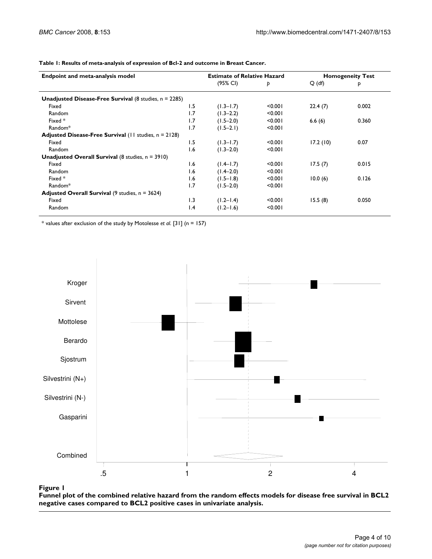| <b>Endpoint and meta-analysis model</b>                          |                 | <b>Estimate of Relative Hazard</b> |         | <b>Homogeneity Test</b> |       |
|------------------------------------------------------------------|-----------------|------------------------------------|---------|-------------------------|-------|
|                                                                  |                 | (95% CI)                           | Þ       | $Q$ (df)                | P     |
| <b>Unadjusted Disease-Free Survival</b> (8 studies, $n = 2285$ ) |                 |                                    |         |                         |       |
| Fixed                                                            | 1.5             | $(1.3 - 1.7)$                      | < 0.001 | 22.4(7)                 | 0.002 |
| Random                                                           | 1.7             | $(1.3 - 2.2)$                      | < 0.001 |                         |       |
| Fixed *                                                          | 1.7             | $(1.5 - 2.0)$                      | < 0.001 | 6.6(6)                  | 0.360 |
| Random <sup>*</sup>                                              | 1.7             | $(1.5-2.1)$                        | < 0.001 |                         |       |
| Adjusted Disease-Free Survival (11 studies, n = 2128)            |                 |                                    |         |                         |       |
| Fixed                                                            | 1.5             | $(1.3 - 1.7)$                      | < 0.001 | 17.2(10)                | 0.07  |
| Random                                                           | 1.6             | $(1.3 - 2.0)$                      | < 0.001 |                         |       |
| <b>Unadjusted Overall Survival</b> (8 studies, $n = 3910$ )      |                 |                                    |         |                         |       |
| Fixed                                                            | 1.6             | $(1.4 - 1.7)$                      | < 0.001 | 17.5(7)                 | 0.015 |
| Random                                                           | 1.6             | $(1.4 - 2.0)$                      | < 0.001 |                         |       |
| Fixed *                                                          | 1.6             | $(1.5 - 1.8)$                      | < 0.001 | 10.0(6)                 | 0.126 |
| Random <sup>*</sup>                                              | 1.7             | $(1.5 - 2.0)$                      | < 0.001 |                         |       |
| <b>Adjusted Overall Survival</b> (9 studies, $n = 3624$ )        |                 |                                    |         |                         |       |
| Fixed                                                            | 1.3             | $(1.2 - 1.4)$                      | < 0.001 | 15.5(8)                 | 0.050 |
| Random                                                           | $\mathsf{I}$ .4 | $(1.2 - 1.6)$                      | < 0.001 |                         |       |

**Table 1: Results of meta-analysis of expression of Bcl-2 and outcome in Breast Cancer.**

\* values after exclusion of the study by Motolesse *et al*. [31] (n = 157)



Funnel plot of the combined relative hazard compared to BCL2 positive **Figure 1** cases in univariate analysis from the random effects models for disease free survival in BCL2 negative cases **Funnel plot of the combined relative hazard from the random effects models for disease free survival in BCL2 negative cases compared to BCL2 positive cases in univariate analysis.**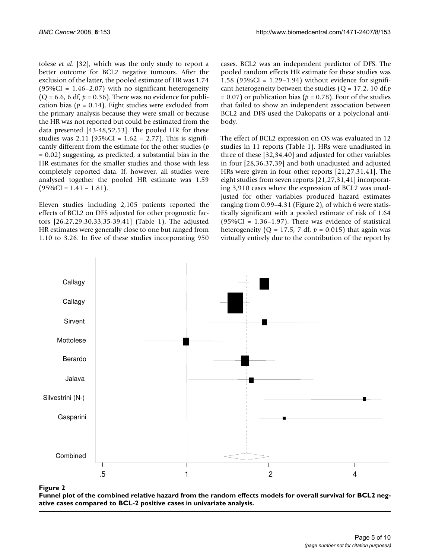tolese *et al*. [32], which was the only study to report a better outcome for BCL2 negative tumours. After the exclusion of the latter, the pooled estimate of HR was 1.74  $(95\%CI = 1.46 - 2.07)$  with no significant heterogeneity  $(Q = 6.6, 6 df, p = 0.36)$ . There was no evidence for publication bias ( $p = 0.14$ ). Eight studies were excluded from the primary analysis because they were small or because the HR was not reported but could be estimated from the data presented [43-48,52,53]. The pooled HR for these studies was  $2.11$  (95%CI =  $1.62 - 2.77$ ). This is significantly different from the estimate for the other studies (*p* = 0.02) suggesting, as predicted, a substantial bias in the HR estimates for the smaller studies and those with less completely reported data. If, however, all studies were analysed together the pooled HR estimate was 1.59  $(95\%CI = 1.41 - 1.81).$ 

Eleven studies including 2,105 patients reported the effects of BCL2 on DFS adjusted for other prognostic factors [26,27,29,30,33,35-39,41] (Table 1). The adjusted HR estimates were generally close to one but ranged from 1.10 to 3.26. In five of these studies incorporating 950

cases, BCL2 was an independent predictor of DFS. The pooled random effects HR estimate for these studies was 1.58 ( $95\%$ CI = 1.29–1.94) without evidence for significant heterogeneity between the studies (Q = 17.2, 10 df,*p*  $= 0.07$ ) or publication bias ( $p = 0.78$ ). Four of the studies that failed to show an independent association between BCL2 and DFS used the Dakopatts or a polyclonal antibody.

The effect of BCL2 expression on OS was evaluated in 12 studies in 11 reports (Table 1). HRs were unadjusted in three of these [32,34,40] and adjusted for other variables in four [28,36,37,39] and both unadjusted and adjusted HRs were given in four other reports [21,27,31,41]. The eight studies from seven reports [21,27,31,41] incorporating 3,910 cases where the expression of BCL2 was unadjusted for other variables produced hazard estimates ranging from 0.99–4.31 (Figure 2), of which 6 were statistically significant with a pooled estimate of risk of 1.64 (95% $CI = 1.36 - 1.97$ ). There was evidence of statistical heterogeneity ( $Q = 17.5$ , 7 df,  $p = 0.015$ ) that again was virtually entirely due to the contribution of the report by



Funnel plot of the combined relative hazard pared to BCL-2 positive ca **Figure 2** ses in univariate analysis from the random effects models for overall survival for BCL2 negative cases com-**Funnel plot of the combined relative hazard from the random effects models for overall survival for BCL2 negative cases compared to BCL-2 positive cases in univariate analysis.**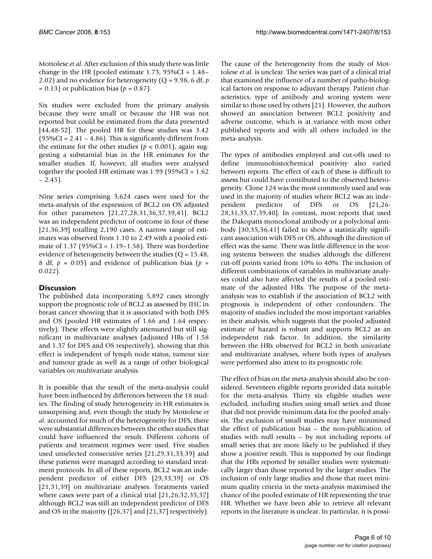Mottolese *et al*. After exclusion of this study there was little change in the HR (pooled estimate 1.73,  $95\%CI = 1.48$ – 2.02) and no evidence for heterogeneity (Q = 9.98, 6 df, *p*  $= 0.13$ ) or publication bias ( $p = 0.87$ ).

Six studies were excluded from the primary analysis because they were small or because the HR was not reported but could be estimated from the data presented [44,48-52]. The pooled HR for these studies was 3.42  $(95\%CI = 2.41 - 4.86)$ . This is significantly different from the estimate for the other studies ( $p < 0.001$ ), again suggesting a substantial bias in the HR estimates for the smaller studies. If, however, all studies were analysed together the pooled HR estimate was 1.99 (95%CI = 1.62  $-2.45$ ).

Nine series comprising 3,624 cases were used for the meta-analysis of the expression of BCL2 on OS adjusted for other parameters [21,27,28,31,36,37,39,41]. BCL2 was an independent predictor of outcome in four of these [21,36,39] totalling 2,190 cases. A narrow range of estimates was observed from 1.10 to 2.49 with a pooled estimate of  $1.37$  ( $95\%$ CI =  $1.19$ – $1.58$ ). There was borderline evidence of heterogeneity between the studies ( $Q = 15.48$ , 8 df,  $p = 0.05$ ) and evidence of publication bias ( $p =$ 0.022).

### **Discussion**

The published data incorporating 5,892 cases strongly support the prognostic role of BCL2 as assessed by IHC in breast cancer showing that it is associated with both DFS and OS (pooled HR estimates of 1.66 and 1.64 respectively). These effects were slightly attenuated but still significant in multivariate analyses (adjusted HRs of 1.58 and 1.37 for DFS and OS respectively), showing that this effect is independent of lymph node status, tumour size and tumour grade as well as a range of other biological variables on multivariate analysis.

It is possible that the result of the meta-analysis could have been influenced by differences between the 18 studies. The finding of study heterogeneity in HR estimates is unsurprising and, even though the study by Mottolese *et al*. accounted for much of the heterogeneity for DFS, there were substantial differences between the other studies that could have influenced the result. Different cohorts of patients and treatment regimes were used. Five studies used unselected consecutive series [21,29,31,33,39] and these patients were managed according to standard treatment protocols. In all of these reports, BCL2 was an independent predictor of either DFS [29,33,39] or OS [21,31,39] on multivariate analyses. Treatments varied where cases were part of a clinical trial  $[21,26,32,35,37]$ although BCL2 was still an independent predictor of DFS and OS in the majority ([26,37] and [21,37] respectively).

The cause of the heterogeneity from the study of Mottolese *et al*. is unclear. The series was part of a clinical trial that examined the influence of a number of patho-biological factors on response to adjuvant therapy. Patient characteristics, type of antibody and scoring system were similar to those used by others [21]. However, the authors showed an association between BCL2 positivity and adverse outcome, which is at variance with most other published reports and with all others included in the meta-analysis.

The types of antibodies employed and cut-offs used to define immunohistochemical positivity also varied between reports. The effect of each of these is difficult to assess but could have contributed to the observed heterogeneity. Clone 124 was the most commonly used and was used in the majority of studies where BCL2 was an independent predictor of DFS or OS [21,26- 28,31,33,37,39,40]. In contrast, most reports that used the Dakopatts monoclonal antibody or a polyclonal antibody [30,35,36,41] failed to show a statistically significant association with DFS or OS, although the direction of effect was the same. There was little difference in the scoring systems between the studies although the different cut-off points varied from 10% to 40%. The inclusion of different combinations of variables in multivariate analyses could also have affected the results of a pooled estimate of the adjusted HRs. The purpose of the metaanalysis was to establish if the association of BCL2 with prognosis is independent of other confounders. The majority of studies included the most important variables in their analysis, which suggests that the pooled adjusted estimate of hazard is robust and supports BCL2 as an independent risk factor. In addition, the similarity between the HRs observed for BCL2 in both univariate and multivariate analyses, where both types of analyses were performed also attest to its prognostic role.

The effect of bias on the meta-analysis should also be considered. Seventeen eligible reports provided data suitable for the meta-analysis. Thirty six eligible studies were excluded, including studies using small series and those that did not provide minimum data for the pooled analysis. The exclusion of small studies may have minimised the effect of publication bias – the non-publication of studies with null results – by not including reports of small series that are more likely to be published if they show a positive result. This is supported by our findings that the HRs reported by smaller studies were systematically larger than those reported by the larger studies. The inclusion of only large studies and those that meet minimum quality criteria in the meta-analysis maximised the chance of the pooled estimate of HR representing the true HR. Whether we have been able to retrieve all relevant reports in the literature is unclear. In particular, it is possi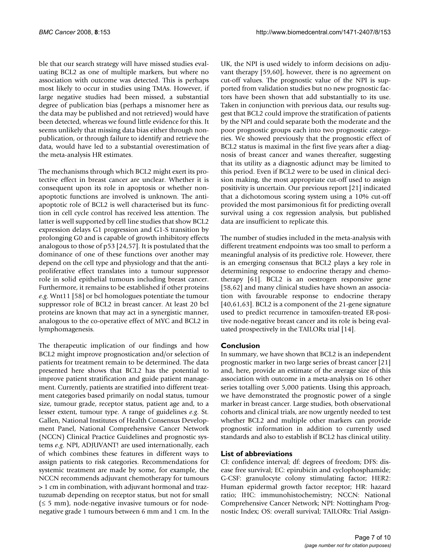ble that our search strategy will have missed studies evaluating BCL2 as one of multiple markers, but where no association with outcome was detected. This is perhaps most likely to occur in studies using TMAs. However, if large negative studies had been missed, a substantial degree of publication bias (perhaps a misnomer here as the data may be published and not retrieved) would have been detected, whereas we found little evidence for this. It seems unlikely that missing data bias either through nonpublication, or through failure to identify and retrieve the data, would have led to a substantial overestimation of the meta-analysis HR estimates.

The mechanisms through which BCL2 might exert its protective effect in breast cancer are unclear. Whether it is consequent upon its role in apoptosis or whether nonapoptotic functions are involved is unknown. The antiapoptotic role of BCL2 is well characterised but its function in cell cycle control has received less attention. The latter is well supported by cell line studies that show BCL2 expression delays G1 progression and G1-S transition by prolonging G0 and is capable of growth inhibitory effects analogous to those of p53 [24,57]. It is postulated that the dominance of one of these functions over another may depend on the cell type and physiology and that the antiproliferative effect translates into a tumour suppressor role in solid epithelial tumours including breast cancer. Furthermore, it remains to be established if other proteins *e.g*. Wnt11 [58] or bcl homologues potentiate the tumour suppressor role of BCL2 in breast cancer. At least 20 bcl proteins are known that may act in a synergistic manner, analogous to the co-operative effect of MYC and BCL2 in lymphomagenesis.

The therapeutic implication of our findings and how BCL2 might improve prognostication and/or selection of patients for treatment remain to be determined. The data presented here shows that BCL2 has the potential to improve patient stratification and guide patient management. Currently, patients are stratified into different treatment categories based primarily on nodal status, tumour size, tumour grade, receptor status, patient age and, to a lesser extent, tumour type. A range of guidelines *e.g*. St. Gallen, National Institutes of Health Consensus Development Panel, National Comprehensive Cancer Network (NCCN) Clinical Practice Guidelines and prognostic systems *e.g*. NPI, ADJUVANT! are used internationally, each of which combines these features in different ways to assign patients to risk categories. Recommendations for systemic treatment are made by some, for example, the NCCN recommends adjuvant chemotherapy for tumours > 1 cm in combination, with adjuvant hormonal and traztuzumab depending on receptor status, but not for small  $(\leq 5$  mm), node-negative invasive tumours or for nodenegative grade 1 tumours between 6 mm and 1 cm. In the UK, the NPI is used widely to inform decisions on adjuvant therapy [59,60], however, there is no agreement on cut-off values. The prognostic value of the NPI is supported from validation studies but no new prognostic factors have been shown that add substantially to its use. Taken in conjunction with previous data, our results suggest that BCL2 could improve the stratification of patients by the NPI and could separate both the moderate and the poor prognostic groups each into two prognostic categories. We showed previously that the prognostic effect of BCL2 status is maximal in the first five years after a diagnosis of breast cancer and wanes thereafter, suggesting that its utility as a diagnostic adjunct may be limited to this period. Even if BCL2 were to be used in clinical decision making, the most appropriate cut-off used to assign positivity is uncertain. Our previous report [21] indicated that a dichotomous scoring system using a 10% cut-off provided the most parsimonious fit for predicting overall survival using a cox regression analysis, but published data are insufficient to replicate this.

The number of studies included in the meta-analysis with different treatment endpoints was too small to perform a meaningful analysis of its predictive role. However, there is an emerging consensus that BCL2 plays a key role in determining response to endocrine therapy and chemotherapy [61]. BCL2 is an oestrogen responsive gene [58,62] and many clinical studies have shown an association with favourable response to endocrine therapy [40,61,63]. BCL2 is a component of the 21-gene signature used to predict recurrence in tamoxifen-treated ER-positive node-negative breast cancer and its role is being evaluated prospectively in the TAILORx trial [14].

#### **Conclusion**

In summary, we have shown that BCL2 is an independent prognostic marker in two large series of breast cancer [21] and, here, provide an estimate of the average size of this association with outcome in a meta-analysis on 16 other series totalling over 5,000 patients. Using this approach, we have demonstrated the prognostic power of a single marker in breast cancer. Large studies, both observational cohorts and clinical trials, are now urgently needed to test whether BCL2 and multiple other markers can provide prognostic information in addition to currently used standards and also to establish if BCL2 has clinical utility.

#### **List of abbreviations**

CI: confidence interval; df: degrees of freedom; DFS: disease free survival; EC: epirubicin and cyclophosphamide; G-CSF: granulocyte colony stimulating factor; HER2: Human epidermal growth factor receptor; HR: hazard ratio; IHC: immunohistochemistry; NCCN: National Comprehensive Cancer Network; NPI: Nottingham Prognostic Index; OS: overall survival; TAILORx: Trial Assign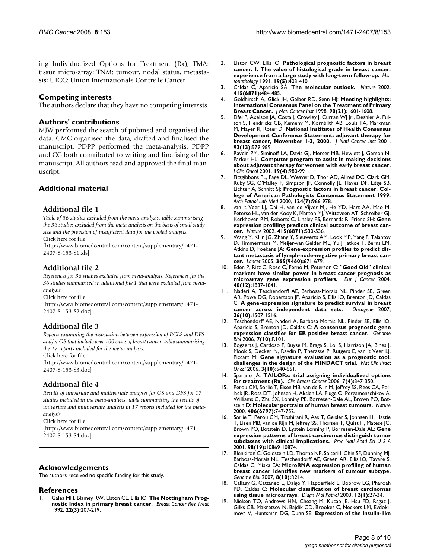ing Individualized Options for Treatment (Rx); TMA: tissue micro-array; TNM: tumour, nodal status, metastasis; UICC: Union Internationale Contre le Cancer.

#### **Competing interests**

The authors declare that they have no competing interests.

#### **Authors' contributions**

MJW performed the search of pubmed and organised the data. GMC organised the data, drafted and finalised the manuscript. PDPP performed the meta-analysis. PDPP and CC both contributed to writing and finalising of the manuscript. All authors read and approved the final manuscript.

#### **Additional material**

#### **Additional file 1**

*Table of 36 studies excluded from the meta-analysis. table summarising the 36 studies excluded from the meta-analysis on the basis of small study size and the provision of insufficient data for the pooled analysis.* Click here for file

[\[http://www.biomedcentral.com/content/supplementary/1471-](http://www.biomedcentral.com/content/supplementary/1471-2407-8-153-S1.xls) 2407-8-153-S1.xls]

#### **Additional file 2**

*References for 36 studies excluded from meta-analysis. References for the 36 studies summarised in additional file 1 that were excluded from metaanalysis.*

Click here for file

[\[http://www.biomedcentral.com/content/supplementary/1471-](http://www.biomedcentral.com/content/supplementary/1471-2407-8-153-S2.doc) 2407-8-153-S2.doc]

#### **Additional file 3**

*Reports examining the association between expression of BCL2 and DFS and/or OS that include over 100 cases of breast cancer. table summarising the 17 reports included for the meta-analysis.*

Click here for file

[\[http://www.biomedcentral.com/content/supplementary/1471-](http://www.biomedcentral.com/content/supplementary/1471-2407-8-153-S3.doc) 2407-8-153-S3.doc]

#### **Additional file 4**

*Results of univariate and multivariate analyses for OS and DFS for 17 studies included in the meta-analysis. table summarising the results of univariate and multivariate analysis in 17 reports included for the metaanalysis.*

Click here for file

[\[http://www.biomedcentral.com/content/supplementary/1471-](http://www.biomedcentral.com/content/supplementary/1471-2407-8-153-S4.doc) 2407-8-153-S4.doc]

#### **Acknowledgements**

The authors received no specific funding for this study.

#### **References**

1. Galea MH, Blamey RW, Elston CE, Ellis IO: **[The Nottingham Prog](http://www.ncbi.nlm.nih.gov/entrez/query.fcgi?cmd=Retrieve&db=PubMed&dopt=Abstract&list_uids=1391987)[nostic Index in primary breast cancer.](http://www.ncbi.nlm.nih.gov/entrez/query.fcgi?cmd=Retrieve&db=PubMed&dopt=Abstract&list_uids=1391987)** *Breast Cancer Res Treat* 1992, **22(3):**207-219.

- 2. Elston CW, Ellis IO: **[Pathological prognostic factors in breast](http://www.ncbi.nlm.nih.gov/entrez/query.fcgi?cmd=Retrieve&db=PubMed&dopt=Abstract&list_uids=1757079) [cancer. I. The value of histological grade in breast cancer:](http://www.ncbi.nlm.nih.gov/entrez/query.fcgi?cmd=Retrieve&db=PubMed&dopt=Abstract&list_uids=1757079) [experience from a large study with long-term follow-up.](http://www.ncbi.nlm.nih.gov/entrez/query.fcgi?cmd=Retrieve&db=PubMed&dopt=Abstract&list_uids=1757079)** *Histopathology* 1991, **19(5):**403-410.
- 3. Caldas C, Aparicio SA: **[The molecular outlook.](http://www.ncbi.nlm.nih.gov/entrez/query.fcgi?cmd=Retrieve&db=PubMed&dopt=Abstract&list_uids=11831227)** *Nature* 2002, **415(6871):**484-485.
- 4. Goldhirsch A, Glick JH, Gelber RD, Senn HJ: **[Meeting highlights:](http://www.ncbi.nlm.nih.gov/entrez/query.fcgi?cmd=Retrieve&db=PubMed&dopt=Abstract&list_uids=9811309) [International Consensus Panel on the Treatment of Primary](http://www.ncbi.nlm.nih.gov/entrez/query.fcgi?cmd=Retrieve&db=PubMed&dopt=Abstract&list_uids=9811309) [Breast Cancer.](http://www.ncbi.nlm.nih.gov/entrez/query.fcgi?cmd=Retrieve&db=PubMed&dopt=Abstract&list_uids=9811309)** *J Natl Cancer Inst* 1998, **90(21):**1601-1608.
- 5. Eifel P, Axelson JA, Costa J, Crowley J, Curran WJ Jr., Deshler A, Fulton S, Hendricks CB, Kemeny M, Kornblith AB, Louis TA, Markman M, Mayer R, Roter D: **[National Institutes of Health Consensus](http://www.ncbi.nlm.nih.gov/entrez/query.fcgi?cmd=Retrieve&db=PubMed&dopt=Abstract&list_uids=11438563) [Development Conference Statement: adjuvant therapy for](http://www.ncbi.nlm.nih.gov/entrez/query.fcgi?cmd=Retrieve&db=PubMed&dopt=Abstract&list_uids=11438563) [breast cancer, November 1-3, 2000.](http://www.ncbi.nlm.nih.gov/entrez/query.fcgi?cmd=Retrieve&db=PubMed&dopt=Abstract&list_uids=11438563)** *J Natl Cancer Inst* 2001, **93(13):**979-989.
- 6. Ravdin PM, Siminoff LA, Davis GJ, Mercer MB, Hewlett J, Gerson N, Parker HL: **[Computer program to assist in making decisions](http://www.ncbi.nlm.nih.gov/entrez/query.fcgi?cmd=Retrieve&db=PubMed&dopt=Abstract&list_uids=11181660) [about adjuvant therapy for women with early breast cancer.](http://www.ncbi.nlm.nih.gov/entrez/query.fcgi?cmd=Retrieve&db=PubMed&dopt=Abstract&list_uids=11181660)** *J Clin Oncol* 2001, **19(4):**980-991.
- 7. Fitzgibbons PL, Page DL, Weaver D, Thor AD, Allred DC, Clark GM, Ruby SG, O'Malley F, Simpson JF, Connolly JL, Hayes DF, Edge SB, Lichter A, Schnitt SJ: **[Prognostic factors in breast cancer. Col](http://www.ncbi.nlm.nih.gov/entrez/query.fcgi?cmd=Retrieve&db=PubMed&dopt=Abstract&list_uids=10888772)[lege of American Pathologists Consensus Statement 1999.](http://www.ncbi.nlm.nih.gov/entrez/query.fcgi?cmd=Retrieve&db=PubMed&dopt=Abstract&list_uids=10888772)** *Arch Pathol Lab Med* 2000, **124(7):**966-978.
- 8. van 't Veer LJ, Dai H, van de Vijver MJ, He YD, Hart AA, Mao M, Peterse HL, van der Kooy K, Marton MJ, Witteveen AT, Schreiber GJ, Kerkhoven RM, Roberts C, Linsley PS, Bernards R, Friend SH: **[Gene](http://www.ncbi.nlm.nih.gov/entrez/query.fcgi?cmd=Retrieve&db=PubMed&dopt=Abstract&list_uids=11823860) [expression profiling predicts clinical outcome of breast can](http://www.ncbi.nlm.nih.gov/entrez/query.fcgi?cmd=Retrieve&db=PubMed&dopt=Abstract&list_uids=11823860)[cer.](http://www.ncbi.nlm.nih.gov/entrez/query.fcgi?cmd=Retrieve&db=PubMed&dopt=Abstract&list_uids=11823860)** *Nature* 2002, **415(6871):**530-536.
- 9. Wang Y, Klijn JG, Zhang Y, Sieuwerts AM, Look MP, Yang F, Talantov D, Timmermans M, Meijer-van Gelder ME, Yu J, Jatkoe T, Berns EM, Atkins D, Foekens JA: **[Gene-expression profiles to predict dis](http://www.ncbi.nlm.nih.gov/entrez/query.fcgi?cmd=Retrieve&db=PubMed&dopt=Abstract&list_uids=15721472)[tant metastasis of lymph-node-negative primary breast can](http://www.ncbi.nlm.nih.gov/entrez/query.fcgi?cmd=Retrieve&db=PubMed&dopt=Abstract&list_uids=15721472)[cer.](http://www.ncbi.nlm.nih.gov/entrez/query.fcgi?cmd=Retrieve&db=PubMed&dopt=Abstract&list_uids=15721472)** *Lancet* 2005, **365(9460):**671-679.
- 10. Eden P, Ritz C, Rose C, Ferno M, Peterson C: **["Good Old" clinical](http://www.ncbi.nlm.nih.gov/entrez/query.fcgi?cmd=Retrieve&db=PubMed&dopt=Abstract&list_uids=15288284) [markers have similar power in breast cancer prognosis as](http://www.ncbi.nlm.nih.gov/entrez/query.fcgi?cmd=Retrieve&db=PubMed&dopt=Abstract&list_uids=15288284) [microarray gene expression profilers.](http://www.ncbi.nlm.nih.gov/entrez/query.fcgi?cmd=Retrieve&db=PubMed&dopt=Abstract&list_uids=15288284)** *Eur J Cancer* 2004, **40(12):**1837-1841.
- 11. Naderi A, Teschendorff AE, Barbosa-Morais NL, Pinder SE, Green AR, Powe DG, Robertson JF, Aparicio S, Ellis IO, Brenton JD, Caldas C: **[A gene-expression signature to predict survival in breast](http://www.ncbi.nlm.nih.gov/entrez/query.fcgi?cmd=Retrieve&db=PubMed&dopt=Abstract&list_uids=16936776) [cancer across independent data sets.](http://www.ncbi.nlm.nih.gov/entrez/query.fcgi?cmd=Retrieve&db=PubMed&dopt=Abstract&list_uids=16936776)** *Oncogene* 2007, **26(10):**1507-1516.
- 12. Teschendorff AE, Naderi A, Barbosa-Morais NL, Pinder SE, Ellis IO, Aparicio S, Brenton JD, Caldas C: **[A consensus prognostic gene](http://www.ncbi.nlm.nih.gov/entrez/query.fcgi?cmd=Retrieve&db=PubMed&dopt=Abstract&list_uids=17076897) [expression classifier for ER positive breast cancer.](http://www.ncbi.nlm.nih.gov/entrez/query.fcgi?cmd=Retrieve&db=PubMed&dopt=Abstract&list_uids=17076897)** *Genome Biol* 2006, **7(10):**R101.
- 13. Bogaerts J, Cardoso F, Buyse M, Braga S, Loi S, Harrison JA, Bines J, Mook S, Decker N, Ravdin P, Therasse P, Rutgers E, van 't Veer LJ, Piccart M: **[Gene signature evaluation as a prognostic tool:](http://www.ncbi.nlm.nih.gov/entrez/query.fcgi?cmd=Retrieve&db=PubMed&dopt=Abstract&list_uids=17019432) [challenges in the design of the MINDACT trial.](http://www.ncbi.nlm.nih.gov/entrez/query.fcgi?cmd=Retrieve&db=PubMed&dopt=Abstract&list_uids=17019432)** *Nat Clin Pract Oncol* 2006, **3(10):**540-551.
- 14. Sparano JA: **[TAILORx: trial assigning individualized options](http://www.ncbi.nlm.nih.gov/entrez/query.fcgi?cmd=Retrieve&db=PubMed&dopt=Abstract&list_uids=17092406) [for treatment \(Rx\).](http://www.ncbi.nlm.nih.gov/entrez/query.fcgi?cmd=Retrieve&db=PubMed&dopt=Abstract&list_uids=17092406)** *Clin Breast Cancer* 2006, **7(4):**347-350.
- 15. Perou CM, Sorlie T, Eisen MB, van de Rijn M, Jeffrey SS, Rees CA, Pollack JR, Ross DT, Johnsen H, Akslen LA, Fluge O, Pergamenschikov A, Williams C, Zhu SX, Lonning PE, Borresen-Dale AL, Brown PO, Botstein D: **[Molecular portraits of human breast tumours.](http://www.ncbi.nlm.nih.gov/entrez/query.fcgi?cmd=Retrieve&db=PubMed&dopt=Abstract&list_uids=10963602)** *Nature* 2000, **406(6797):**747-752.
- 16. Sorlie T, Perou CM, Tibshirani R, Aas T, Geisler S, Johnsen H, Hastie T, Eisen MB, van de Rijn M, Jeffrey SS, Thorsen T, Quist H, Matese JC, Brown PO, Botstein D, Eystein Lonning P, Borresen-Dale AL: **[Gene](http://www.ncbi.nlm.nih.gov/entrez/query.fcgi?cmd=Retrieve&db=PubMed&dopt=Abstract&list_uids=11553815) [expression patterns of breast carcinomas distinguish tumor](http://www.ncbi.nlm.nih.gov/entrez/query.fcgi?cmd=Retrieve&db=PubMed&dopt=Abstract&list_uids=11553815) [subclasses with clinical implications.](http://www.ncbi.nlm.nih.gov/entrez/query.fcgi?cmd=Retrieve&db=PubMed&dopt=Abstract&list_uids=11553815)** *Proc Natl Acad Sci U S A* 2001, **98(19):**10869-10874.
- 17. Blenkiron C, Goldstein LD, Thorne NP, Spiteri I, Chin SF, Dunning MJ, Barbosa-Morais NL, Teschendorff AE, Green AR, Ellis IO, Tavare S, Caldas C, Miska EA: **[MicroRNA expression profiling of human](http://www.ncbi.nlm.nih.gov/entrez/query.fcgi?cmd=Retrieve&db=PubMed&dopt=Abstract&list_uids=17922911) [breast cancer identifies new markers of tumour subtype.](http://www.ncbi.nlm.nih.gov/entrez/query.fcgi?cmd=Retrieve&db=PubMed&dopt=Abstract&list_uids=17922911)** *Genome Biol* 2007, **8(10):**R214.
- 18. Callagy G, Cattaneo E, Daigo Y, Happerfield L, Bobrow LG, Pharoah PD, Caldas C: **[Molecular classification of breast carcinomas](http://www.ncbi.nlm.nih.gov/entrez/query.fcgi?cmd=Retrieve&db=PubMed&dopt=Abstract&list_uids=12605033) [using tissue microarrays.](http://www.ncbi.nlm.nih.gov/entrez/query.fcgi?cmd=Retrieve&db=PubMed&dopt=Abstract&list_uids=12605033)** *Diagn Mol Pathol* 2003, **12(1):**27-34.
- 19. Nielsen TO, Andrews HN, Cheang M, Kucab JE, Hsu FD, Ragaz J, Gilks CB, Makretsov N, Bajdik CD, Brookes C, Neckers LM, Evdokimova V, Huntsman DG, Dunn SE: **[Expression of the insulin-like](http://www.ncbi.nlm.nih.gov/entrez/query.fcgi?cmd=Retrieve&db=PubMed&dopt=Abstract&list_uids=14729636)**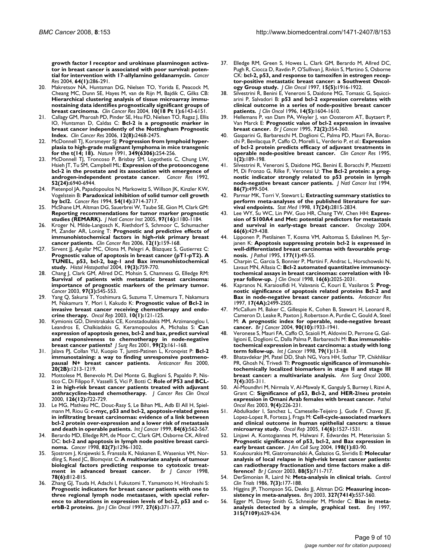**[growth factor I receptor and urokinase plasminogen activa](http://www.ncbi.nlm.nih.gov/entrez/query.fcgi?cmd=Retrieve&db=PubMed&dopt=Abstract&list_uids=14729636)tor in breast cancer is associated with poor survival: poten[tial for intervention with 17-allylamino geldanamycin.](http://www.ncbi.nlm.nih.gov/entrez/query.fcgi?cmd=Retrieve&db=PubMed&dopt=Abstract&list_uids=14729636)** *Cancer Res* 2004, **64(1):**286-291.

- 20. Makretsov NA, Huntsman DG, Nielsen TO, Yorida E, Peacock M, Cheang MC, Dunn SE, Hayes M, van de Rijn M, Bajdik C, Gilks CB: **[Hierarchical clustering analysis of tissue microarray immu](http://www.ncbi.nlm.nih.gov/entrez/query.fcgi?cmd=Retrieve&db=PubMed&dopt=Abstract&list_uids=15448001)nostaining data identifies prognostically significant groups of [breast carcinoma.](http://www.ncbi.nlm.nih.gov/entrez/query.fcgi?cmd=Retrieve&db=PubMed&dopt=Abstract&list_uids=15448001)** *Clin Cancer Res* 2004, **10(18 Pt 1):**6143-6151.
- 21. Callagy GM, Pharoah PD, Pinder SE, Hsu FD, Nielsen TO, Ragaz J, Ellis IO, Huntsman D, Caldas C: **[Bcl-2 is a prognostic marker in](http://www.ncbi.nlm.nih.gov/entrez/query.fcgi?cmd=Retrieve&db=PubMed&dopt=Abstract&list_uids=16638854) [breast cancer independently of the Nottingham Prognostic](http://www.ncbi.nlm.nih.gov/entrez/query.fcgi?cmd=Retrieve&db=PubMed&dopt=Abstract&list_uids=16638854) [Index.](http://www.ncbi.nlm.nih.gov/entrez/query.fcgi?cmd=Retrieve&db=PubMed&dopt=Abstract&list_uids=16638854)** *Clin Cancer Res* 2006, **12(8):**2468-2475.
- 22. McDonnell TJ, Korsmeyer SJ: **[Progression from lymphoid hyper](http://www.ncbi.nlm.nih.gov/entrez/query.fcgi?cmd=Retrieve&db=PubMed&dopt=Abstract&list_uids=1987477)[plasia to high-grade malignant lymphoma in mice transgenic](http://www.ncbi.nlm.nih.gov/entrez/query.fcgi?cmd=Retrieve&db=PubMed&dopt=Abstract&list_uids=1987477) [for the t\(14; 18\).](http://www.ncbi.nlm.nih.gov/entrez/query.fcgi?cmd=Retrieve&db=PubMed&dopt=Abstract&list_uids=1987477)** *Nature* 1991, **349(6306):**254-256.
- 23. McDonnell TJ, Troncoso P, Brisbay SM, Logothetis C, Chung LW, Hsieh JT, Tu SM, Campbell ML: **[Expression of the protooncogene](http://www.ncbi.nlm.nih.gov/entrez/query.fcgi?cmd=Retrieve&db=PubMed&dopt=Abstract&list_uids=1458483) [bcl-2 in the prostate and its association with emergence of](http://www.ncbi.nlm.nih.gov/entrez/query.fcgi?cmd=Retrieve&db=PubMed&dopt=Abstract&list_uids=1458483) [androgen-independent prostate cancer.](http://www.ncbi.nlm.nih.gov/entrez/query.fcgi?cmd=Retrieve&db=PubMed&dopt=Abstract&list_uids=1458483)** *Cancer Res* 1992, **52(24):**6940-6944.
- 24. Pietenpol JA, Papadopoulos N, Markowitz S, Willson JK, Kinzler KW, Vogelstein B: **[Paradoxical inhibition of solid tumor cell growth](http://www.ncbi.nlm.nih.gov/entrez/query.fcgi?cmd=Retrieve&db=PubMed&dopt=Abstract&list_uids=8033089) [by bcl2.](http://www.ncbi.nlm.nih.gov/entrez/query.fcgi?cmd=Retrieve&db=PubMed&dopt=Abstract&list_uids=8033089)** *Cancer Res* 1994, **54(14):**3714-3717.
- 25. McShane LM, Altman DG, Sauerbrei W, Taube SE, Gion M, Clark GM: **[Reporting recommendations for tumor marker prognostic](http://www.ncbi.nlm.nih.gov/entrez/query.fcgi?cmd=Retrieve&db=PubMed&dopt=Abstract&list_uids=16106022) [studies \(REMARK\).](http://www.ncbi.nlm.nih.gov/entrez/query.fcgi?cmd=Retrieve&db=PubMed&dopt=Abstract&list_uids=16106022)** *J Natl Cancer Inst* 2005, **97(16):**1180-1184.
- 26. Kroger N, Milde-Langosch K, Riethdorf S, Schmoor C, Schumacher M, Zander AR, Loning T: **[Prognostic and predictive effects of](http://www.ncbi.nlm.nih.gov/entrez/query.fcgi?cmd=Retrieve&db=PubMed&dopt=Abstract&list_uids=16397038) [immunohistochemical factors in high-risk primary breast](http://www.ncbi.nlm.nih.gov/entrez/query.fcgi?cmd=Retrieve&db=PubMed&dopt=Abstract&list_uids=16397038) [cancer patients.](http://www.ncbi.nlm.nih.gov/entrez/query.fcgi?cmd=Retrieve&db=PubMed&dopt=Abstract&list_uids=16397038)** *Clin Cancer Res* 2006, **12(1):**159-168.
- Sirvent JJ, Aguilar MC, Olona M, Pelegri A, Blazquez S, Gutierrez C: **[Prognostic value of apoptosis in breast cancer \(pT1-pT2\). A](http://www.ncbi.nlm.nih.gov/entrez/query.fcgi?cmd=Retrieve&db=PubMed&dopt=Abstract&list_uids=15168338) TUNEL, p53, bcl-2, bag-1 and Bax immunohistochemical [study.](http://www.ncbi.nlm.nih.gov/entrez/query.fcgi?cmd=Retrieve&db=PubMed&dopt=Abstract&list_uids=15168338)** *Histol Histopathol* 2004, **19(3):**759-770.
- 28. Chang J, Clark GM, Allred DC, Mohsin S, Chamness G, Elledge RM: **[Survival of patients with metastatic breast carcinoma:](http://www.ncbi.nlm.nih.gov/entrez/query.fcgi?cmd=Retrieve&db=PubMed&dopt=Abstract&list_uids=12548595) importance of prognostic markers of the primary tumor.** *Cancer* 2003, **97(3):**545-553.
- 29. Yang Q, Sakurai T, Yoshimura G, Suzuma T, Umemura T, Nakamura M, Nakamura Y, Mori I, Kakudo K: **[Prognostic value of Bcl-2 in](http://www.ncbi.nlm.nih.gov/entrez/query.fcgi?cmd=Retrieve&db=PubMed&dopt=Abstract&list_uids=12469156) [invasive breast cancer receiving chemotherapy and endo](http://www.ncbi.nlm.nih.gov/entrez/query.fcgi?cmd=Retrieve&db=PubMed&dopt=Abstract&list_uids=12469156)[crine therapy.](http://www.ncbi.nlm.nih.gov/entrez/query.fcgi?cmd=Retrieve&db=PubMed&dopt=Abstract&list_uids=12469156)** *Oncol Rep* 2003, **10(1):**121-125.
- 30. Kymionis GD, Dimitrakakis CE, Konstadoulakis MM, Arzimanoglou I, Leandros E, Chalkiadakis G, Keramopoulos A, Michalas S: **[Can](http://www.ncbi.nlm.nih.gov/entrez/query.fcgi?cmd=Retrieve&db=PubMed&dopt=Abstract&list_uids=11469882) [expression of apoptosis genes, bcl-2 and bax, predict survival](http://www.ncbi.nlm.nih.gov/entrez/query.fcgi?cmd=Retrieve&db=PubMed&dopt=Abstract&list_uids=11469882) and responsiveness to chemotherapy in node-negative [breast cancer patients?](http://www.ncbi.nlm.nih.gov/entrez/query.fcgi?cmd=Retrieve&db=PubMed&dopt=Abstract&list_uids=11469882)** *J Surg Res* 2001, **99(2):**161-168.
- 31. Jalava PJ, Collan YU, Kuopio T, Juntti-Patinen L, Kronqvist P: **[Bcl-2](http://www.ncbi.nlm.nih.gov/entrez/query.fcgi?cmd=Retrieve&db=PubMed&dopt=Abstract&list_uids=10810424) [immunostaining: a way to finding unresponsive postmeno](http://www.ncbi.nlm.nih.gov/entrez/query.fcgi?cmd=Retrieve&db=PubMed&dopt=Abstract&list_uids=10810424)[pausal N+ breast cancer patients.](http://www.ncbi.nlm.nih.gov/entrez/query.fcgi?cmd=Retrieve&db=PubMed&dopt=Abstract&list_uids=10810424)** *Anticancer Res* 2000, **20(2B):**1213-1219.
- 32. Mottolese M, Benevolo M, Del Monte G, Buglioni S, Papaldo P, Nistico C, Di Filippo F, Vasselli S, Vici P, Botti C: **[Role of P53 and BCL-](http://www.ncbi.nlm.nih.gov/entrez/query.fcgi?cmd=Retrieve&db=PubMed&dopt=Abstract&list_uids=11153146)[2 in high-risk breast cancer patients treated with adjuvant](http://www.ncbi.nlm.nih.gov/entrez/query.fcgi?cmd=Retrieve&db=PubMed&dopt=Abstract&list_uids=11153146) [anthracycline-based chemotherapy.](http://www.ncbi.nlm.nih.gov/entrez/query.fcgi?cmd=Retrieve&db=PubMed&dopt=Abstract&list_uids=11153146)** *J Cancer Res Clin Oncol* 2000, **126(12):**722-729.
- 33. Le MG, Mathieu MC, Douc-Rasy S, Le Bihan ML, Adb El All H, Spielmann M, Riou G: **[c-myc, p53 and bcl-2, apoptosis-related genes](http://www.ncbi.nlm.nih.gov/entrez/query.fcgi?cmd=Retrieve&db=PubMed&dopt=Abstract&list_uids=10567899) [in infiltrating breast carcinomas: evidence of a link between](http://www.ncbi.nlm.nih.gov/entrez/query.fcgi?cmd=Retrieve&db=PubMed&dopt=Abstract&list_uids=10567899) bcl-2 protein over-expression and a lower risk of metastasis [and death in operable patients.](http://www.ncbi.nlm.nih.gov/entrez/query.fcgi?cmd=Retrieve&db=PubMed&dopt=Abstract&list_uids=10567899)** *Int J Cancer* 1999, **84(6):**562-567.
- Berardo MD, Elledge RM, de Moor C, Clark GM, Osborne CK, Allred DC: **[bcl-2 and apoptosis in lymph node positive breast carci](http://www.ncbi.nlm.nih.gov/entrez/query.fcgi?cmd=Retrieve&db=PubMed&dopt=Abstract&list_uids=9529021)[noma.](http://www.ncbi.nlm.nih.gov/entrez/query.fcgi?cmd=Retrieve&db=PubMed&dopt=Abstract&list_uids=9529021)** *Cancer* 1998, **82(7):**1296-1302.
- 35. Sjostrom J, Krajewski S, Franssila K, Niskanen E, Wasenius VM, Nordling S, Reed JC, Blomqvist C: **[A multivariate analysis of tumour](http://www.ncbi.nlm.nih.gov/entrez/query.fcgi?cmd=Retrieve&db=PubMed&dopt=Abstract&list_uids=9743306) biological factors predicting response to cytotoxic treat-<br>ment in advanced breast cancer.** Br | Cancer |998, [ment in advanced breast cancer.](http://www.ncbi.nlm.nih.gov/entrez/query.fcgi?cmd=Retrieve&db=PubMed&dopt=Abstract&list_uids=9743306) **78(6):**812-815.
- 36. Zhang GJ, Tsuda H, Adachi I, Fukutomi T, Yamamoto H, Hirohashi S: **[Prognostic indicators for breast cancer patients with one to](http://www.ncbi.nlm.nih.gov/entrez/query.fcgi?cmd=Retrieve&db=PubMed&dopt=Abstract&list_uids=9437997) three regional lymph node metastases, with special reference to alterations in expression levels of bcl-2, p53 and c[erbB-2 proteins.](http://www.ncbi.nlm.nih.gov/entrez/query.fcgi?cmd=Retrieve&db=PubMed&dopt=Abstract&list_uids=9437997)** *Jpn J Clin Oncol* 1997, **27(6):**371-377.
- 37. Elledge RM, Green S, Howes L, Clark GM, Berardo M, Allred DC, Pugh R, Ciocca D, Ravdin P, O'Sullivan J, Rivkin S, Martino S, Osborne CK: **[bcl-2, p53, and response to tamoxifen in estrogen recep](http://www.ncbi.nlm.nih.gov/entrez/query.fcgi?cmd=Retrieve&db=PubMed&dopt=Abstract&list_uids=9164202)[tor-positive metastatic breast cancer: a Southwest Oncol](http://www.ncbi.nlm.nih.gov/entrez/query.fcgi?cmd=Retrieve&db=PubMed&dopt=Abstract&list_uids=9164202)[ogy Group study.](http://www.ncbi.nlm.nih.gov/entrez/query.fcgi?cmd=Retrieve&db=PubMed&dopt=Abstract&list_uids=9164202)** *J Clin Oncol* 1997, **15(5):**1916-1922.
- 38. Silvestrini R, Benini E, Veneroni S, Daidone MG, Tomasic G, Squicciarini P, Salvadori B: **[p53 and bcl-2 expression correlates with](http://www.ncbi.nlm.nih.gov/entrez/query.fcgi?cmd=Retrieve&db=PubMed&dopt=Abstract&list_uids=8622078) [clinical outcome in a series of node-positive breast cancer](http://www.ncbi.nlm.nih.gov/entrez/query.fcgi?cmd=Retrieve&db=PubMed&dopt=Abstract&list_uids=8622078) [patients.](http://www.ncbi.nlm.nih.gov/entrez/query.fcgi?cmd=Retrieve&db=PubMed&dopt=Abstract&list_uids=8622078)** *J Clin Oncol* 1996, **14(5):**1604-1610.
- 39. Hellemans P, van Dam PA, Weyler J, van Oosterom AT, Buytaert P, Van Marck E: **[Prognostic value of bcl-2 expression in invasive](http://www.ncbi.nlm.nih.gov/entrez/query.fcgi?cmd=Retrieve&db=PubMed&dopt=Abstract&list_uids=7640218) [breast cancer.](http://www.ncbi.nlm.nih.gov/entrez/query.fcgi?cmd=Retrieve&db=PubMed&dopt=Abstract&list_uids=7640218)** *Br J Cancer* 1995, **72(2):**354-360.
- 40. Gasparini G, Barbareschi M, Doglioni C, Palma PD, Mauri FA, Boracchi P, Bevilacqua P, Caffo O, Morelli L, Verderio P, *et al.*: **[Expression](http://www.ncbi.nlm.nih.gov/entrez/query.fcgi?cmd=Retrieve&db=PubMed&dopt=Abstract&list_uids=9815973) [of bcl-2 protein predicts efficacy of adjuvant treatments in](http://www.ncbi.nlm.nih.gov/entrez/query.fcgi?cmd=Retrieve&db=PubMed&dopt=Abstract&list_uids=9815973) [operable node-positive breast cancer.](http://www.ncbi.nlm.nih.gov/entrez/query.fcgi?cmd=Retrieve&db=PubMed&dopt=Abstract&list_uids=9815973)** *Clin Cancer Res* 1995, **1(2):**189-198.
- 41. Silvestrini R, Veneroni S, Daidone MG, Benini E, Boracchi P, Mezzetti M, Di Fronzo G, Rilke F, Veronesi U: **[The Bcl-2 protein: a prog](http://www.ncbi.nlm.nih.gov/entrez/query.fcgi?cmd=Retrieve&db=PubMed&dopt=Abstract&list_uids=8133533)[nostic indicator strongly related to p53 protein in lymph](http://www.ncbi.nlm.nih.gov/entrez/query.fcgi?cmd=Retrieve&db=PubMed&dopt=Abstract&list_uids=8133533) [node-negative breast cancer patients.](http://www.ncbi.nlm.nih.gov/entrez/query.fcgi?cmd=Retrieve&db=PubMed&dopt=Abstract&list_uids=8133533)** *J Natl Cancer Inst* 1994, **86(7):**499-504.
- 42. Parmar MK, Torri V, Stewart L: **[Extracting summary statistics to](http://www.ncbi.nlm.nih.gov/entrez/query.fcgi?cmd=Retrieve&db=PubMed&dopt=Abstract&list_uids=9921604) [perform meta-analyses of the published literature for sur](http://www.ncbi.nlm.nih.gov/entrez/query.fcgi?cmd=Retrieve&db=PubMed&dopt=Abstract&list_uids=9921604)[vival endpoints.](http://www.ncbi.nlm.nih.gov/entrez/query.fcgi?cmd=Retrieve&db=PubMed&dopt=Abstract&list_uids=9921604)** *Stat Med* 1998, **17(24):**2815-2834.
- 43. Lee WY, Su WC, Lin PW, Guo HR, Chang TW, Chen HH: **[Expres](http://www.ncbi.nlm.nih.gov/entrez/query.fcgi?cmd=Retrieve&db=PubMed&dopt=Abstract&list_uids=15452371)[sion of S100A4 and Met: potential predictors for metastasis](http://www.ncbi.nlm.nih.gov/entrez/query.fcgi?cmd=Retrieve&db=PubMed&dopt=Abstract&list_uids=15452371) [and survival in early-stage breast cancer.](http://www.ncbi.nlm.nih.gov/entrez/query.fcgi?cmd=Retrieve&db=PubMed&dopt=Abstract&list_uids=15452371)** *Oncology* 2004, **66(6):**429-438.
- 44. Lipponen P, Pietilainen T, Kosma VM, Aaltomaa S, Eskelinen M, Syrjanen K: **[Apoptosis suppressing protein bcl-2 is expressed in](http://www.ncbi.nlm.nih.gov/entrez/query.fcgi?cmd=Retrieve&db=PubMed&dopt=Abstract&list_uids=7472779) [well-differentiated breast carcinomas with favourable prog](http://www.ncbi.nlm.nih.gov/entrez/query.fcgi?cmd=Retrieve&db=PubMed&dopt=Abstract&list_uids=7472779)[nosis.](http://www.ncbi.nlm.nih.gov/entrez/query.fcgi?cmd=Retrieve&db=PubMed&dopt=Abstract&list_uids=7472779)** *J Pathol* 1995, **177(1):**49-55.
- 45. Charpin C, Garcia S, Bonnier P, Martini F, Andrac L, Horschowski N, Lavaut MN, Allasia C: **[Bcl-2 automated quantitative immunocy](http://www.ncbi.nlm.nih.gov/entrez/query.fcgi?cmd=Retrieve&db=PubMed&dopt=Abstract&list_uids=9626199)[tochemical assays in breast carcinomas: correlation with 10](http://www.ncbi.nlm.nih.gov/entrez/query.fcgi?cmd=Retrieve&db=PubMed&dopt=Abstract&list_uids=9626199) [year follow-up.](http://www.ncbi.nlm.nih.gov/entrez/query.fcgi?cmd=Retrieve&db=PubMed&dopt=Abstract&list_uids=9626199)** *J Clin Oncol* 1998, **16(6):**2025-2031.
- 46. Kapranos N, Karaiosifidi H, Valavanis C, Kouri E, Vasilaros S: **[Prog](http://www.ncbi.nlm.nih.gov/entrez/query.fcgi?cmd=Retrieve&db=PubMed&dopt=Abstract&list_uids=9252670)[nostic significance of apoptosis related proteins Bcl-2 and](http://www.ncbi.nlm.nih.gov/entrez/query.fcgi?cmd=Retrieve&db=PubMed&dopt=Abstract&list_uids=9252670) [Bax in node-negative breast cancer patients.](http://www.ncbi.nlm.nih.gov/entrez/query.fcgi?cmd=Retrieve&db=PubMed&dopt=Abstract&list_uids=9252670)** *Anticancer Res* 1997, **17(4A):**2499-2505.
- 47. McCallum M, Baker C, Gillespie K, Cohen B, Stewart H, Leonard R, Cameron D, Leake R, Paxton J, Robertson A, Purdie C, Gould A, Steel M: **[A prognostic index for operable, node-negative breast](http://www.ncbi.nlm.nih.gov/entrez/query.fcgi?cmd=Retrieve&db=PubMed&dopt=Abstract&list_uids=15138474) [cancer.](http://www.ncbi.nlm.nih.gov/entrez/query.fcgi?cmd=Retrieve&db=PubMed&dopt=Abstract&list_uids=15138474)** *Br J Cancer* 2004, **90(10):**1933-1941.
- Veronese S, Mauri FA, Caffo O, Scaioli M, Aldovini D, Perrone G, Galligioni E, Doglioni C, Dalla Palma P, Barbareschi M: **[Bax immunohis](http://www.ncbi.nlm.nih.gov/entrez/query.fcgi?cmd=Retrieve&db=PubMed&dopt=Abstract&list_uids=9495351)[tochemical expression in breast carcinoma: a study with long](http://www.ncbi.nlm.nih.gov/entrez/query.fcgi?cmd=Retrieve&db=PubMed&dopt=Abstract&list_uids=9495351) [term follow-up.](http://www.ncbi.nlm.nih.gov/entrez/query.fcgi?cmd=Retrieve&db=PubMed&dopt=Abstract&list_uids=9495351)** *Int J Cancer* 1998, **79(1):**13-18.
- Bhatavdekar JM, Patel DD, Shah NG, Vora HH, Suthar TP, Chikhlikar PR, Ghosh N, Trivedi TI: **[Prognostic significance of immunohis](http://www.ncbi.nlm.nih.gov/entrez/query.fcgi?cmd=Retrieve&db=PubMed&dopt=Abstract&list_uids=10819372)[tochemically localized biomarkers in stage II and stage III](http://www.ncbi.nlm.nih.gov/entrez/query.fcgi?cmd=Retrieve&db=PubMed&dopt=Abstract&list_uids=10819372) [breast cancer: a multivariate analysis.](http://www.ncbi.nlm.nih.gov/entrez/query.fcgi?cmd=Retrieve&db=PubMed&dopt=Abstract&list_uids=10819372)** *Ann Surg Oncol* 2000, **7(4):**305-311.
- 50. Al-Moundhri M, Nirmala V, Al-Mawaly K, Ganguly S, Burney I, Rizvi A, Grant C: **[Significance of p53, Bcl-2, and HER-2/neu protein](http://www.ncbi.nlm.nih.gov/entrez/query.fcgi?cmd=Retrieve&db=PubMed&dopt=Abstract&list_uids=14688828) [expression in Omani Arab females with breast cancer.](http://www.ncbi.nlm.nih.gov/entrez/query.fcgi?cmd=Retrieve&db=PubMed&dopt=Abstract&list_uids=14688828)** *Pathol Oncol Res* 2003, **9(4):**226-231.
- 51. Abdulkader I, Sanchez L, Cameselle-Teijeiro J, Gude F, Chavez JE, Lopez-Lopez R, Forteza J, Fraga M: **[Cell-cycle-associated markers](http://www.ncbi.nlm.nih.gov/entrez/query.fcgi?cmd=Retrieve&db=PubMed&dopt=Abstract&list_uids=16273250) [and clinical outcome in human epithelial cancers: a tissue](http://www.ncbi.nlm.nih.gov/entrez/query.fcgi?cmd=Retrieve&db=PubMed&dopt=Abstract&list_uids=16273250) [microarray study.](http://www.ncbi.nlm.nih.gov/entrez/query.fcgi?cmd=Retrieve&db=PubMed&dopt=Abstract&list_uids=16273250)** *Oncol Rep* 2005, **14(6):**1527-1531.
- 52. Linjawi A, Kontogiannea M, Halwani F, Edwardes M, Meterissian S: **[Prognostic significance of p53, bcl-2, and Bax expression in](http://www.ncbi.nlm.nih.gov/entrez/query.fcgi?cmd=Retrieve&db=PubMed&dopt=Abstract&list_uids=14698315) [early breast cancer.](http://www.ncbi.nlm.nih.gov/entrez/query.fcgi?cmd=Retrieve&db=PubMed&dopt=Abstract&list_uids=14698315)** *J Am Coll Surg* 2004, **198(1):**83-90.
- 53. Koukourakis MI, Giatromanolaki A, Galazios G, Sivridis E: **[Molecular](http://www.ncbi.nlm.nih.gov/entrez/query.fcgi?cmd=Retrieve&db=PubMed&dopt=Abstract&list_uids=12618880) [analysis of local relapse in high-risk breast cancer patients:](http://www.ncbi.nlm.nih.gov/entrez/query.fcgi?cmd=Retrieve&db=PubMed&dopt=Abstract&list_uids=12618880) can radiotherapy fractionation and time factors make a dif[ference?](http://www.ncbi.nlm.nih.gov/entrez/query.fcgi?cmd=Retrieve&db=PubMed&dopt=Abstract&list_uids=12618880)** *Br J Cancer* 2003, **88(5):**711-717.
- 54. DerSimonian R, Laird N: **[Meta-analysis in clinical trials.](http://www.ncbi.nlm.nih.gov/entrez/query.fcgi?cmd=Retrieve&db=PubMed&dopt=Abstract&list_uids=3802833)** *Control Clin Trials* 1986, **7(3):**177-188.
- 55. Higgins JP, Thompson SG, Deeks JJ, Altman DG: **[Measuring incon](http://www.ncbi.nlm.nih.gov/entrez/query.fcgi?cmd=Retrieve&db=PubMed&dopt=Abstract&list_uids=12958120)[sistency in meta-analyses.](http://www.ncbi.nlm.nih.gov/entrez/query.fcgi?cmd=Retrieve&db=PubMed&dopt=Abstract&list_uids=12958120)** *Bmj* 2003, **327(7414):**557-560.
- 56. Egger M, Davey Smith G, Schneider M, Minder C: **[Bias in meta](http://www.ncbi.nlm.nih.gov/entrez/query.fcgi?cmd=Retrieve&db=PubMed&dopt=Abstract&list_uids=9310563)[analysis detected by a simple, graphical test.](http://www.ncbi.nlm.nih.gov/entrez/query.fcgi?cmd=Retrieve&db=PubMed&dopt=Abstract&list_uids=9310563)** *Bmj* 1997, **315(7109):**629-634.